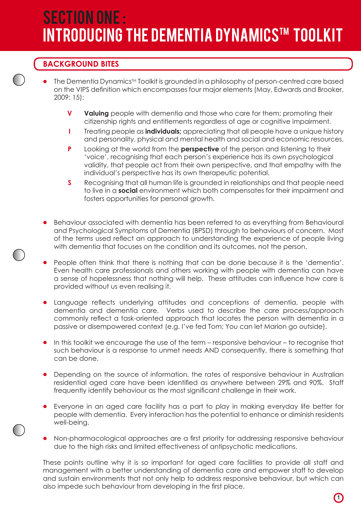# SECTION ONE : **INTRODUCING THE DEMENTIA DYNAMICS™ TOOLKIT**

# **BACKGROUND BITES**

- The Dementia Dynamics™ Toolkit is grounded in a philosophy of person-centred care based on the VIPS definition which encompasses four major elements (May, Edwards and Brooker, 2009: 15):
	- **V Valuing** people with dementia and those who care for them; promoting their citizenship rights and entitlements regardless of age or cognitive impairment.
	- **I** Treating people as **individuals**; appreciating that all people have a unique history and personality, physical and mental health and social and economic resources.
	- **P** Looking at the world from the **perspective** of the person and listening to their 'voice', recognising that each person's experience has its own psychological validity, that people act from their own perspective, and that empathy with the individual's perspective has its own therapeutic potential.
	- **S** Recognising that all human life is grounded in relationships and that people need to live in a **social** environment which both compensates for their impairment and fosters opportunities for personal growth.
	- Behaviour associated with dementia has been referred to as everything from Behavioural and Psychological Symptoms of Dementia (BPSD) through to behaviours of concern. Most of the terms used reflect an approach to understanding the experience of people living with dementia that focuses on the condition and its outcomes, not the person.
	- People often think that there is nothing that can be done because it is the 'dementia'. Even health care professionals and others working with people with dementia can have a sense of hopelessness that nothing will help. These attitudes can influence how care is provided without us even realising it.
	- Language reflects underlying attitudes and conceptions of dementia, people with dementia and dementia care. Verbs used to describe the care process/approach commonly reflect a task-oriented approach that locates the person with dementia in a passive or disempowered context (e.g. I've fed Tom; You can let Marion go outside).
	- In this toolkit we encourage the use of the term responsive behaviour to recognise that such behaviour is a response to unmet needs AND consequently, there is something that can be done.
	- Depending on the source of information, the rates of responsive behaviour in Australian residential aged care have been identified as anywhere between 29% and 90%. Staff frequently identify behaviour as the most significant challenge in their work.
	- Everyone in an aged care facility has a part to play in making everyday life better for people with dementia. Every interaction has the potential to enhance or diminish residents well-being.
	- Non-pharmacological approaches are a first priority for addressing responsive behaviour due to the high risks and limited effectiveness of antipsychotic medications.

These points outline why it is so important for aged care facilities to provide all staff and management with a better understanding of dementia care and empower staff to develop and sustain environments that not only help to address responsive behaviour, but which can also impede such behaviour from developing in the first place.

**1**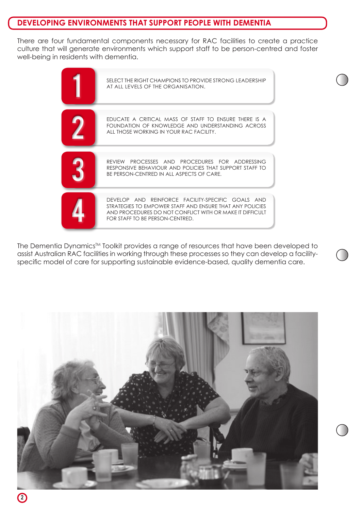# **DEVELOPING ENVIRONMENTS THAT SUPPORT PEOPLE WITH DEMENTIA**

There are four fundamental components necessary for RAC facilities to create a practice culture that will generate environments which support staff to be person-centred and foster well-being in residents with dementia.



The Dementia Dynamics<sup>TM</sup> Toolkit provides a range of resources that have been developed to assist Australian RAC facilities in working through these processes so they can develop a facilityspecific model of care for supporting sustainable evidence-based, quality dementia care.

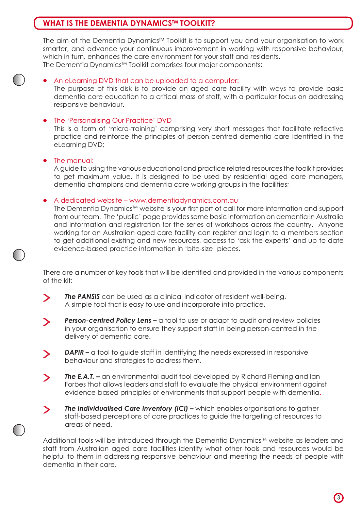# **WHAT IS THE DEMENTIA DYNAMICSTM TOOLKIT?**

The aim of the Dementia Dynamics<sup>TM</sup> Toolkit is to support you and your organisation to work smarter, and advance your continuous improvement in working with responsive behaviour, which in turn, enhances the care environment for your staff and residents. The Dementia Dynamics<sup>™</sup> Toolkit comprises four major components:

#### • An eLearning DVD that can be uploaded to a computer:

 The purpose of this disk is to provide an aged care facility with ways to provide basic dementia care education to a critical mass of staff, with a particular focus on addressing responsive behaviour.

#### • The 'Personalising Our Practice' DVD

 This is a form of 'micro-training' comprising very short messages that facilitate reflective practice and reinforce the principles of person-centred dementia care identified in the eLearning DVD;

#### The manual:

 A guide to using the various educational and practice related resources the toolkit provides to get maximum value. It is designed to be used by residential aged care managers, dementia champions and dementia care working groups in the facilities;

#### • A dedicated website – www.dementiadynamics.com.au

The Dementia Dynamics™ website is your first port of call for more information and support from our team. The 'public' page provides some basic information on dementia in Australia and information and registration for the series of workshops across the country. Anyone working for an Australian aged care facility can register and login to a members section to get additional existing and new resources, access to 'ask the experts' and up to date evidence-based practice information in 'bite-size' pieces.

There are a number of key tools that will be identified and provided in the various components of the kit:

- *The PANSiS* can be used as a clinical indicator of resident well-being.  $\blacktriangleright$  A simple tool that is easy to use and incorporate into practice.
- **Person-centred Policy Lens –** a tool to use or adapt to audit and review policies  $\blacktriangleright$  in your organisation to ensure they support staff in being person-centred in the delivery of dementia care.
- **DAPIR –** a tool to guide staff in identifying the needs expressed in responsive  $\blacktriangleright$  behaviour and strategies to address them.
- **The E.A.T. –** an environmental audit tool developed by Richard Fleming and Ian  $\blacktriangleright$  Forbes that allows leaders and staff to evaluate the physical environment against evidence-based principles of environments that support people with dementia**.**

**The Individualised Care Inventory (ICI) –** which enables organisations to gather  $\geq$  staff-based perceptions of care practices to guide the targeting of resources to areas of need.

Additional tools will be introduced through the Dementia Dynamics™ website as leaders and staff from Australian aged care facilities identify what other tools and resources would be helpful to them in addressing responsive behaviour and meeting the needs of people with dementia in their care.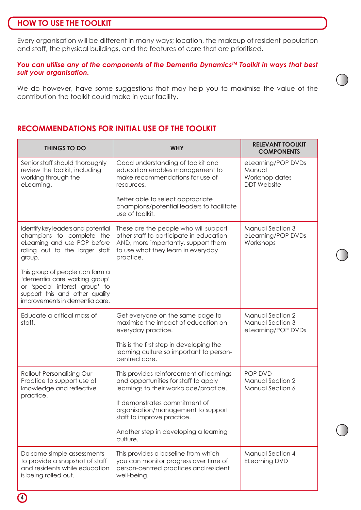### **HOW TO USE THE TOOLKIT**

Every organisation will be different in many ways; location, the makeup of resident population and staff, the physical buildings, and the features of care that are prioritised.

#### *You can utilise any of the components of the Dementia Dynamics™ Toolkit in ways that best suit your organisation.*

We do however, have some suggestions that may help you to maximise the value of the contribution the toolkit could make in your facility.

# **RECOMMENDATIONS FOR INITIAL USE OF THE TOOLKIT**

| <b>THINGS TO DO</b>                                                                                                                                                    | <b>WHY</b>                                                                                                                                                                                              | <b>RELEVANT TOOLKIT</b><br><b>COMPONENTS</b>                         |
|------------------------------------------------------------------------------------------------------------------------------------------------------------------------|---------------------------------------------------------------------------------------------------------------------------------------------------------------------------------------------------------|----------------------------------------------------------------------|
| Senior staff should thoroughly<br>review the toolkit, including<br>working through the<br>eLearning.                                                                   | Good understanding of toolkit and<br>education enables management to<br>make recommendations for use of<br>resources.<br>Better able to select appropriate<br>champions/potential leaders to facilitate | eLearning/POP DVDs<br>Manual<br>Workshop dates<br><b>DDT</b> Website |
|                                                                                                                                                                        | use of toolkit.                                                                                                                                                                                         |                                                                      |
| Identify key leaders and potential<br>champions to complete the<br>eLearning and use POP before<br>rolling out to the larger staff<br>group.                           | These are the people who will support<br>other staff to participate in education<br>AND, more importantly, support them<br>to use what they learn in everyday<br>practice.                              | Manual Section 3<br>eLearning/POP DVDs<br>Workshops                  |
| This group of people can form a<br>'dementia care working group'<br>or 'special interest group' to<br>support this and other quality<br>improvements in dementia care. |                                                                                                                                                                                                         |                                                                      |
| Educate a critical mass of<br>staff.                                                                                                                                   | Get everyone on the same page to<br>maximise the impact of education on<br>everyday practice.                                                                                                           | Manual Section 2<br>Manual Section 3<br>eLearning/POP DVDs           |
|                                                                                                                                                                        | This is the first step in developing the<br>learning culture so important to person-<br>centred care.                                                                                                   |                                                                      |
| Rollout Personalising Our<br>Practice to support use of<br>knowledge and reflective<br>practice.                                                                       | This provides reinforcement of learnings<br>and opportunities for staff to apply<br>learnings to their workplace/practice.                                                                              | POP DVD<br>Manual Section 2<br>Manual Section 6                      |
|                                                                                                                                                                        | It demonstrates commitment of<br>organisation/management to support<br>staff to improve practice.                                                                                                       |                                                                      |
|                                                                                                                                                                        | Another step in developing a learning<br>culture.                                                                                                                                                       |                                                                      |
| Do some simple assessments<br>to provide a snapshot of staff<br>and residents while education<br>is being rolled out.                                                  | This provides a baseline from which<br>you can monitor progress over time of<br>person-centred practices and resident<br>well-being.                                                                    | Manual Section 4<br><b>ELearning DVD</b>                             |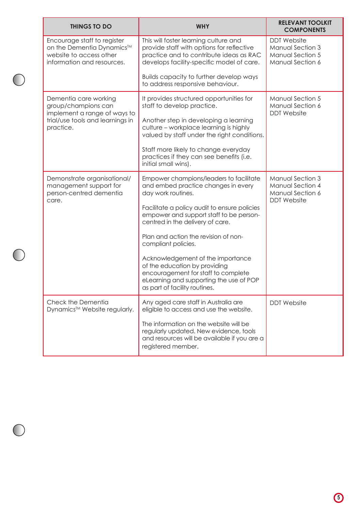|  | <b>THINGS TO DO</b>                                                                                                           | <b>WHY</b>                                                                                                                                                                            | <b>RELEVANT TOOLKIT</b><br><b>COMPONENTS</b>                                   |
|--|-------------------------------------------------------------------------------------------------------------------------------|---------------------------------------------------------------------------------------------------------------------------------------------------------------------------------------|--------------------------------------------------------------------------------|
|  | Encourage staff to register<br>on the Dementia Dynamics™<br>website to access other<br>information and resources.             | This will foster learning culture and<br>provide staff with options for reflective<br>practice and to contribute ideas as RAC<br>develops facility-specific model of care.            | <b>DDT</b> Website<br>Manual Section 3<br>Manual Section 5<br>Manual Section 6 |
|  |                                                                                                                               | Builds capacity to further develop ways<br>to address responsive behaviour.                                                                                                           |                                                                                |
|  | Dementia care working<br>group/champions can<br>implement a range of ways to<br>trial/use tools and learnings in<br>practice. | It provides structured opportunities for<br>staff to develop practice.                                                                                                                | Manual Section 5<br>Manual Section 6<br><b>DDT</b> Website                     |
|  |                                                                                                                               | Another step in developing a learning<br>culture - workplace learning is highly<br>valued by staff under the right conditions.                                                        |                                                                                |
|  |                                                                                                                               | Staff more likely to change everyday<br>practices if they can see benefits (i.e.<br>initial small wins).                                                                              |                                                                                |
|  | Demonstrate organisational/<br>management support for<br>person-centred dementia<br>care.                                     | Empower champions/leaders to facilitate<br>and embed practice changes in every<br>day work routines.                                                                                  | Manual Section 3<br>Manual Section 4<br>Manual Section 6<br><b>DDT</b> Website |
|  |                                                                                                                               | Facilitate a policy audit to ensure policies<br>empower and support staff to be person-<br>centred in the delivery of care.                                                           |                                                                                |
|  |                                                                                                                               | Plan and action the revision of non-<br>compliant policies.                                                                                                                           |                                                                                |
|  |                                                                                                                               | Acknowledgement of the importance<br>of the education by providing<br>encouragement for staff to complete<br>eLearning and supporting the use of POP<br>as part of facility routines. |                                                                                |
|  | Check the Dementia<br>Dynamics™ Website regularly.                                                                            | Any aged care staff in Australia are<br>eligible to access and use the website.                                                                                                       | <b>DDT</b> Website                                                             |
|  |                                                                                                                               | The information on the website will be<br>regularly updated. New evidence, tools<br>and resources will be available if you are a<br>registered member.                                |                                                                                |

 $\bigcirc$